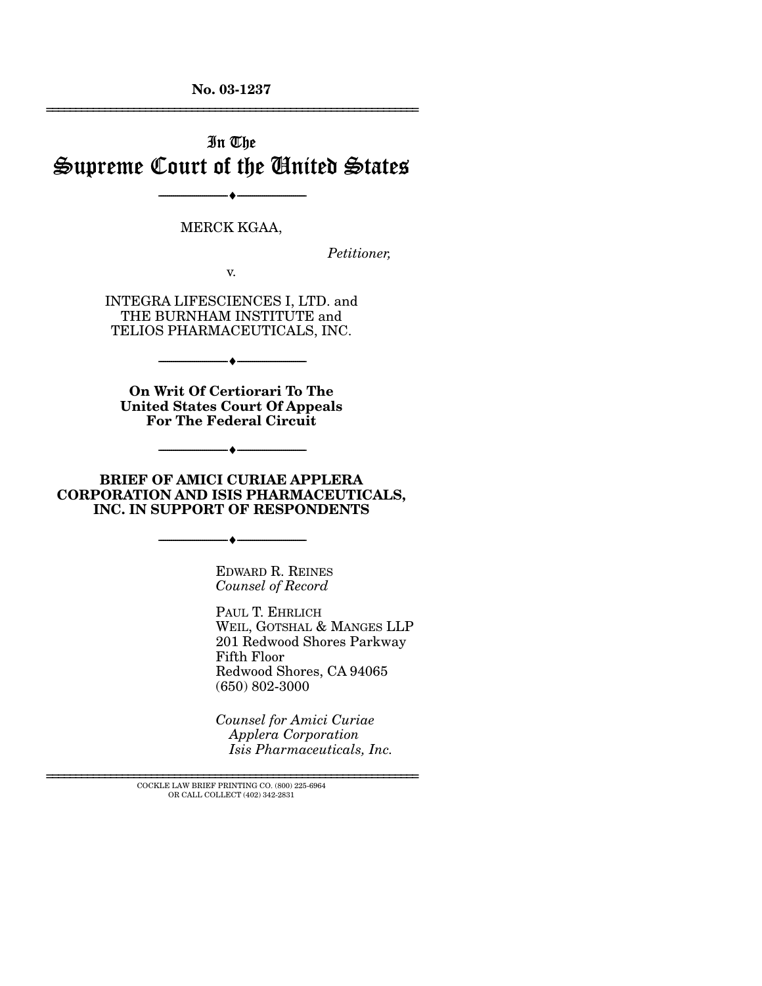**No. 03-1237**  ================================================================

# In The Supreme Court of the United States

#### MERCK KGAA,

--------------------------------- ♦ ---------------------------------

*Petitioner,* 

v.

INTEGRA LIFESCIENCES I, LTD. and THE BURNHAM INSTITUTE and TELIOS PHARMACEUTICALS, INC.

--------------------------------- ♦ ---------------------------------

**On Writ Of Certiorari To The United States Court Of Appeals For The Federal Circuit** 

**BRIEF OF AMICI CURIAE APPLERA CORPORATION AND ISIS PHARMACEUTICALS, INC. IN SUPPORT OF RESPONDENTS** 

--------------------------------- ♦ ---------------------------------

--------------------------------- ♦ ---------------------------------

EDWARD R. REINES *Counsel of Record*

PAUL T. EHRLICH WEIL, GOTSHAL & MANGES LLP 201 Redwood Shores Parkway Fifth Floor Redwood Shores, CA 94065 (650) 802-3000

*Counsel for Amici Curiae Applera Corporation Isis Pharmaceuticals, Inc.*

 ${\rm COCKLE}$  LAW BRIEF PRINTING CO. (800) 225-6964 OR CALL COLLECT (402) 342-2831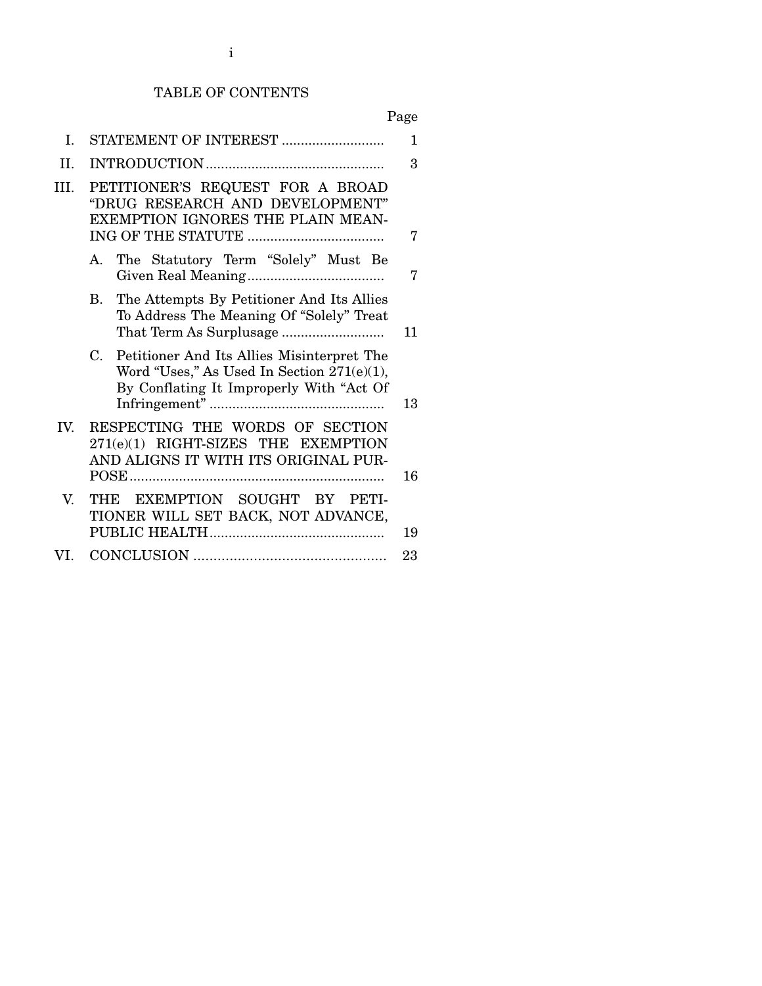## TABLE OF CONTENTS

Page

| I.   |                                                                                                                                                          | 1  |
|------|----------------------------------------------------------------------------------------------------------------------------------------------------------|----|
| II.  |                                                                                                                                                          | 3  |
| III. | PETITIONER'S REQUEST FOR A BROAD<br>"DRUG RESEARCH AND DEVELOPMENT"<br>EXEMPTION IGNORES THE PLAIN MEAN-                                                 | 7  |
|      | The Statutory Term "Solely" Must Be<br>А.                                                                                                                | 7  |
|      | The Attempts By Petitioner And Its Allies<br>В.<br>To Address The Meaning Of "Solely" Treat                                                              | 11 |
|      | Petitioner And Its Allies Misinterpret The<br>$\mathcal{C}$<br>Word "Uses," As Used In Section $271(e)(1)$ ,<br>By Conflating It Improperly With "Act Of | 13 |
| IV.  | RESPECTING THE WORDS OF SECTION<br>271(e)(1) RIGHT-SIZES THE EXEMPTION<br>AND ALIGNS IT WITH ITS ORIGINAL PUR-                                           | 16 |
| V.   | EXEMPTION SOUGHT BY PETI-<br>THE<br>TIONER WILL SET BACK, NOT ADVANCE,                                                                                   | 19 |
| VI.  |                                                                                                                                                          | 23 |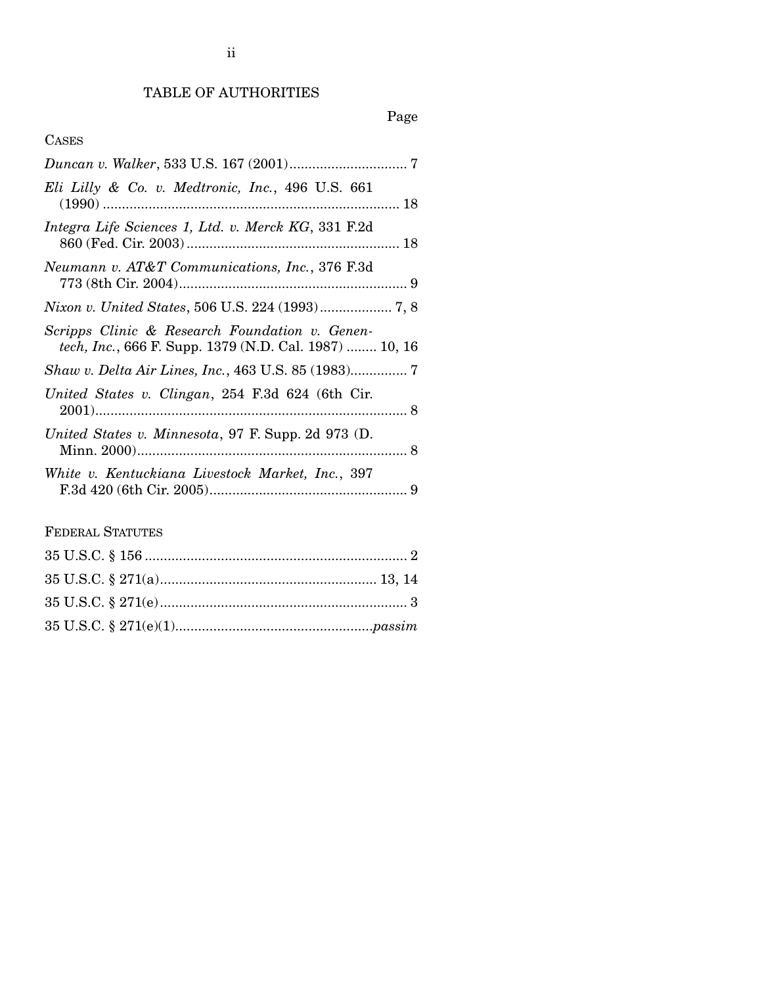## TABLE OF AUTHORITIES

## Page

## CASES

| Eli Lilly & Co. v. Medtronic, Inc., 496 U.S. 661                                                         |
|----------------------------------------------------------------------------------------------------------|
| Integra Life Sciences 1, Ltd. v. Merck KG, 331 F.2d                                                      |
| Neumann v. AT&T Communications, Inc., 376 F.3d                                                           |
|                                                                                                          |
| Scripps Clinic & Research Foundation v. Genen-<br>tech, Inc., 666 F. Supp. 1379 (N.D. Cal. 1987)  10, 16 |
| Shaw v. Delta Air Lines, Inc., 463 U.S. 85 (1983) 7                                                      |
| United States v. Clingan, 254 F.3d 624 (6th Cir.                                                         |
| United States v. Minnesota, 97 F. Supp. 2d 973 (D.                                                       |
| White v. Kentuckiana Livestock Market, Inc., 397                                                         |
| <b>FEDERAL STATUTES</b>                                                                                  |
|                                                                                                          |
|                                                                                                          |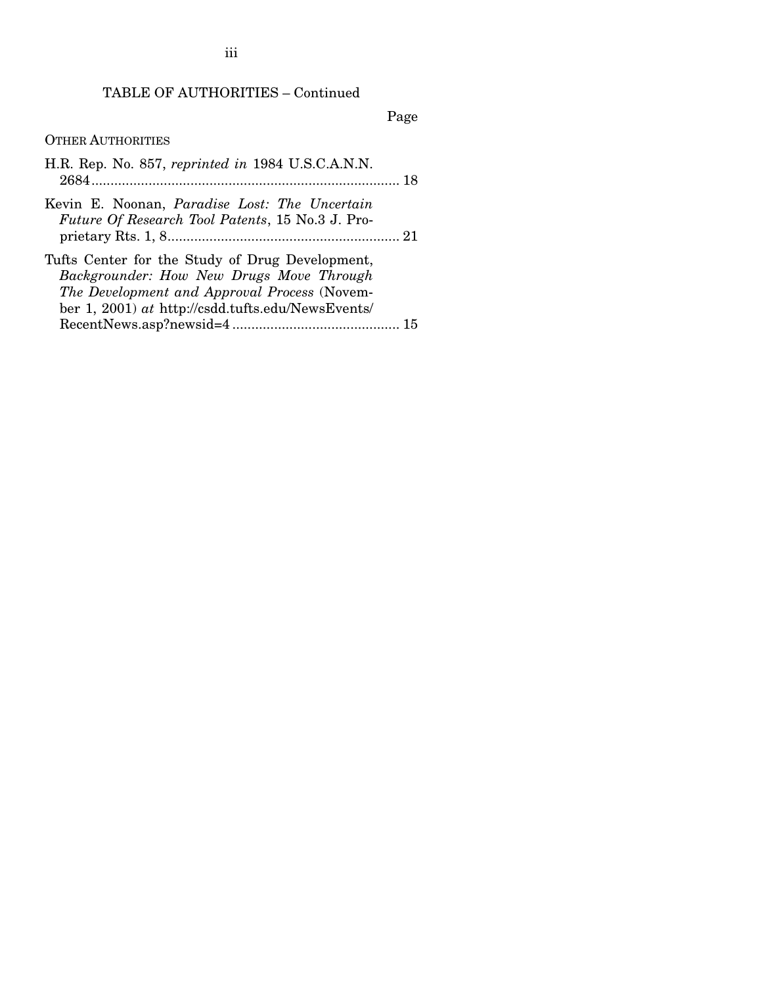## TABLE OF AUTHORITIES – Continued

Page

## OTHER AUTHORITIES

| H.R. Rep. No. 857, reprinted in 1984 U.S.C.A.N.N.                                                                                                                                                |  |
|--------------------------------------------------------------------------------------------------------------------------------------------------------------------------------------------------|--|
| Kevin E. Noonan, Paradise Lost: The Uncertain<br>Future Of Research Tool Patents, 15 No.3 J. Pro-                                                                                                |  |
| Tufts Center for the Study of Drug Development,<br>Backgrounder: How New Drugs Move Through<br>The Development and Approval Process (Novem-<br>ber 1, 2001) at http://csdd.tufts.edu/NewsEvents/ |  |

RecentNews.asp?newsid=4 ............................................ 15

iii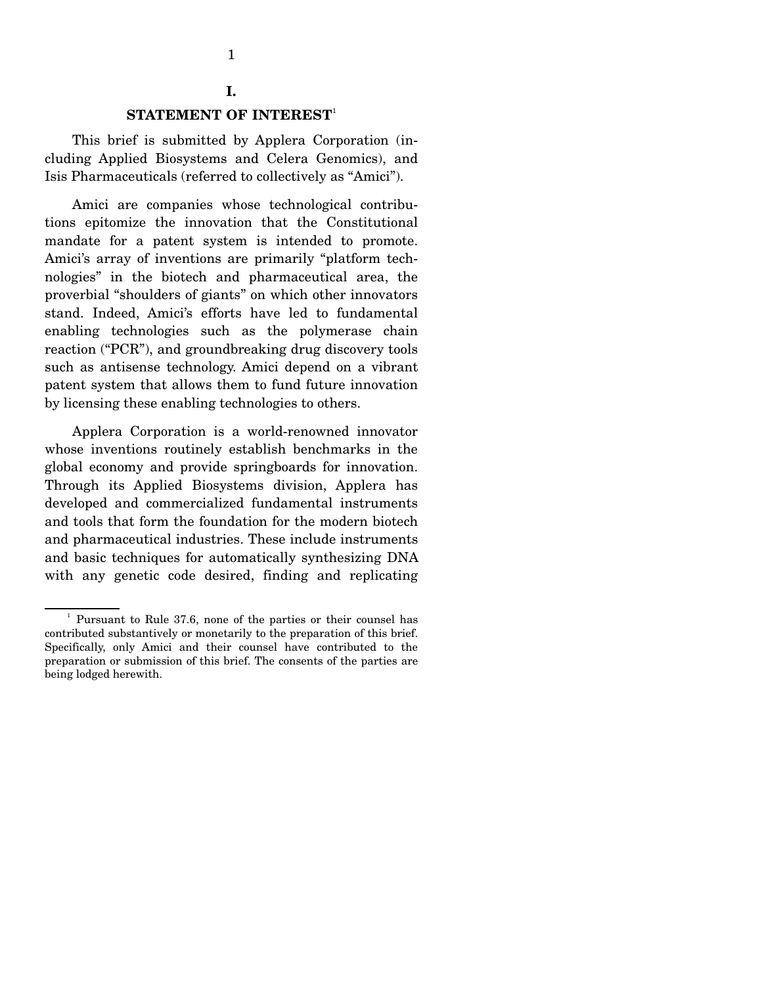### **I.**

### **STATEMENT OF INTEREST**<sup>1</sup>

 This brief is submitted by Applera Corporation (including Applied Biosystems and Celera Genomics), and Isis Pharmaceuticals (referred to collectively as "Amici").

 Amici are companies whose technological contributions epitomize the innovation that the Constitutional mandate for a patent system is intended to promote. Amici's array of inventions are primarily "platform technologies" in the biotech and pharmaceutical area, the proverbial "shoulders of giants" on which other innovators stand. Indeed, Amici's efforts have led to fundamental enabling technologies such as the polymerase chain reaction ("PCR"), and groundbreaking drug discovery tools such as antisense technology. Amici depend on a vibrant patent system that allows them to fund future innovation by licensing these enabling technologies to others.

 Applera Corporation is a world-renowned innovator whose inventions routinely establish benchmarks in the global economy and provide springboards for innovation. Through its Applied Biosystems division, Applera has developed and commercialized fundamental instruments and tools that form the foundation for the modern biotech and pharmaceutical industries. These include instruments and basic techniques for automatically synthesizing DNA with any genetic code desired, finding and replicating

<sup>&</sup>lt;sup>1</sup> Pursuant to Rule 37.6, none of the parties or their counsel has contributed substantively or monetarily to the preparation of this brief. Specifically, only Amici and their counsel have contributed to the preparation or submission of this brief. The consents of the parties are being lodged herewith.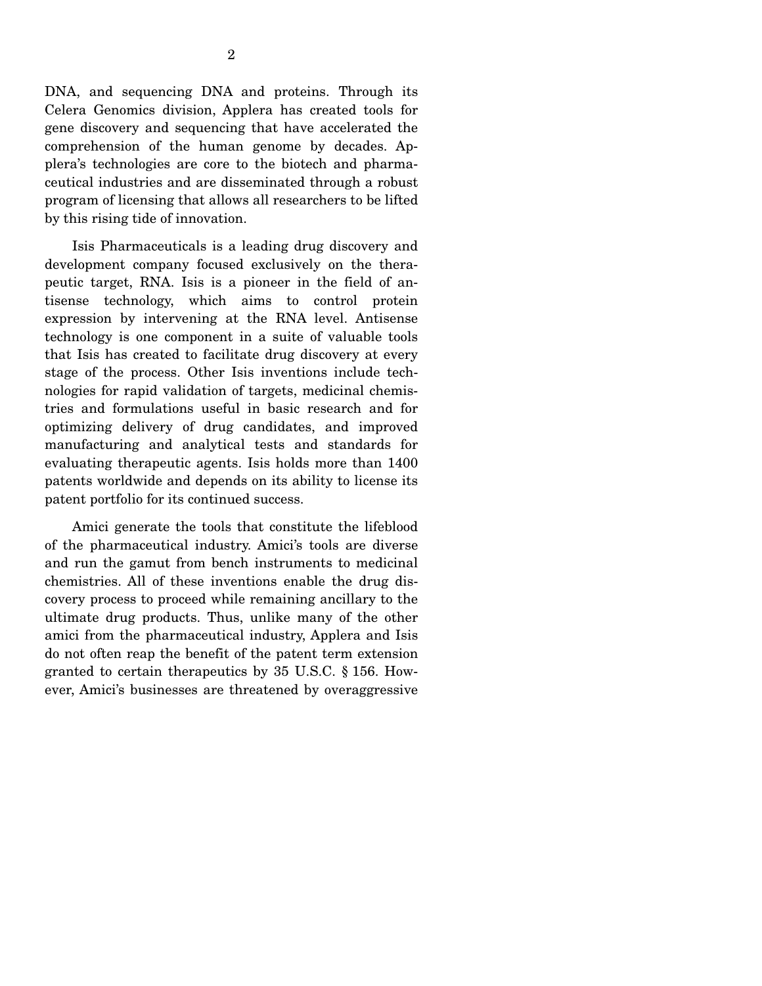DNA, and sequencing DNA and proteins. Through its Celera Genomics division, Applera has created tools for gene discovery and sequencing that have accelerated the comprehension of the human genome by decades. Applera's technologies are core to the biotech and pharmaceutical industries and are disseminated through a robust program of licensing that allows all researchers to be lifted by this rising tide of innovation.

 Isis Pharmaceuticals is a leading drug discovery and development company focused exclusively on the therapeutic target, RNA. Isis is a pioneer in the field of antisense technology, which aims to control protein expression by intervening at the RNA level. Antisense technology is one component in a suite of valuable tools that Isis has created to facilitate drug discovery at every stage of the process. Other Isis inventions include technologies for rapid validation of targets, medicinal chemistries and formulations useful in basic research and for optimizing delivery of drug candidates, and improved manufacturing and analytical tests and standards for evaluating therapeutic agents. Isis holds more than 1400 patents worldwide and depends on its ability to license its patent portfolio for its continued success.

 Amici generate the tools that constitute the lifeblood of the pharmaceutical industry. Amici's tools are diverse and run the gamut from bench instruments to medicinal chemistries. All of these inventions enable the drug discovery process to proceed while remaining ancillary to the ultimate drug products. Thus, unlike many of the other amici from the pharmaceutical industry, Applera and Isis do not often reap the benefit of the patent term extension granted to certain therapeutics by 35 U.S.C. § 156. However, Amici's businesses are threatened by overaggressive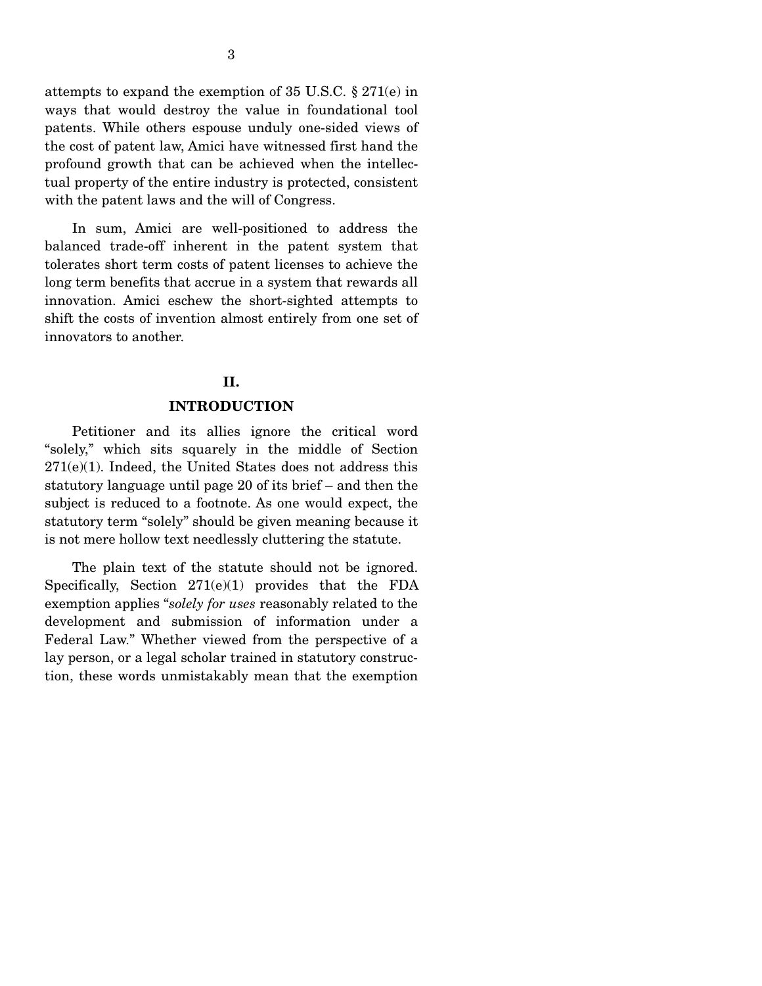attempts to expand the exemption of 35 U.S.C. § 271(e) in ways that would destroy the value in foundational tool patents. While others espouse unduly one-sided views of the cost of patent law, Amici have witnessed first hand the profound growth that can be achieved when the intellectual property of the entire industry is protected, consistent with the patent laws and the will of Congress.

 In sum, Amici are well-positioned to address the balanced trade-off inherent in the patent system that tolerates short term costs of patent licenses to achieve the long term benefits that accrue in a system that rewards all innovation. Amici eschew the short-sighted attempts to shift the costs of invention almost entirely from one set of innovators to another.

#### **II.**

#### **INTRODUCTION**

 Petitioner and its allies ignore the critical word "solely," which sits squarely in the middle of Section  $271(e)(1)$ . Indeed, the United States does not address this statutory language until page 20 of its brief – and then the subject is reduced to a footnote. As one would expect, the statutory term "solely" should be given meaning because it is not mere hollow text needlessly cluttering the statute.

 The plain text of the statute should not be ignored. Specifically, Section 271(e)(1) provides that the FDA exemption applies "*solely for uses* reasonably related to the development and submission of information under a Federal Law." Whether viewed from the perspective of a lay person, or a legal scholar trained in statutory construction, these words unmistakably mean that the exemption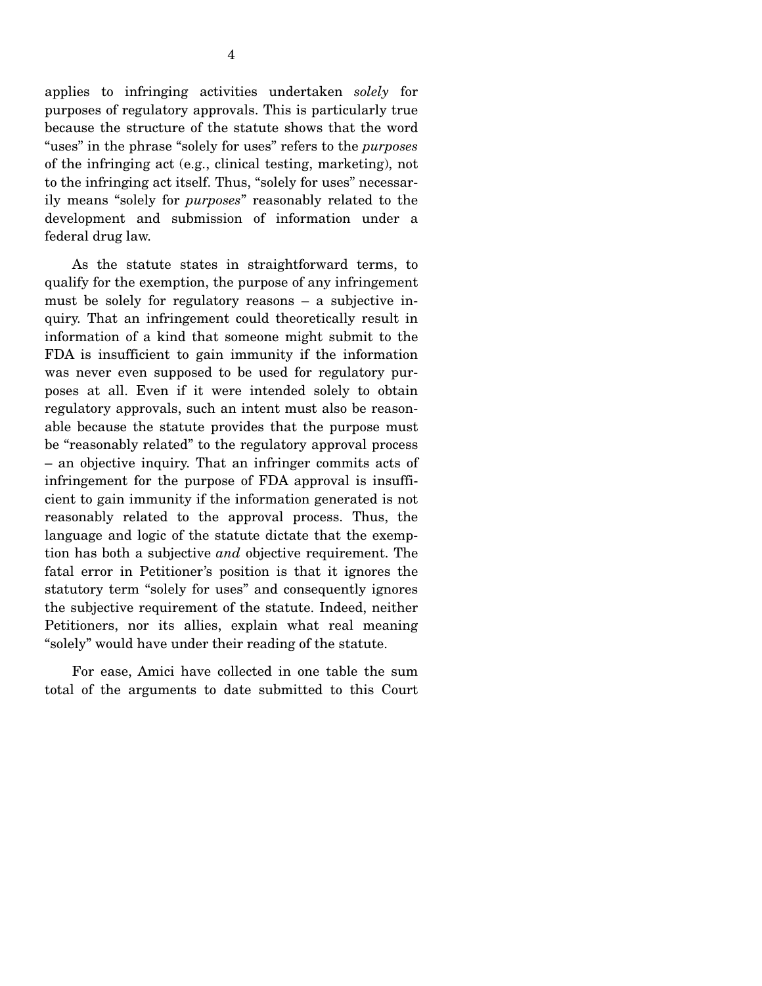applies to infringing activities undertaken *solely* for purposes of regulatory approvals. This is particularly true because the structure of the statute shows that the word "uses" in the phrase "solely for uses" refers to the *purposes* of the infringing act (e.g., clinical testing, marketing), not to the infringing act itself. Thus, "solely for uses" necessarily means "solely for *purposes*" reasonably related to the development and submission of information under a federal drug law.

 As the statute states in straightforward terms, to qualify for the exemption, the purpose of any infringement must be solely for regulatory reasons – a subjective inquiry. That an infringement could theoretically result in information of a kind that someone might submit to the FDA is insufficient to gain immunity if the information was never even supposed to be used for regulatory purposes at all. Even if it were intended solely to obtain regulatory approvals, such an intent must also be reasonable because the statute provides that the purpose must be "reasonably related" to the regulatory approval process – an objective inquiry. That an infringer commits acts of infringement for the purpose of FDA approval is insufficient to gain immunity if the information generated is not reasonably related to the approval process. Thus, the language and logic of the statute dictate that the exemption has both a subjective *and* objective requirement. The fatal error in Petitioner's position is that it ignores the statutory term "solely for uses" and consequently ignores the subjective requirement of the statute. Indeed, neither Petitioners, nor its allies, explain what real meaning "solely" would have under their reading of the statute.

 For ease, Amici have collected in one table the sum total of the arguments to date submitted to this Court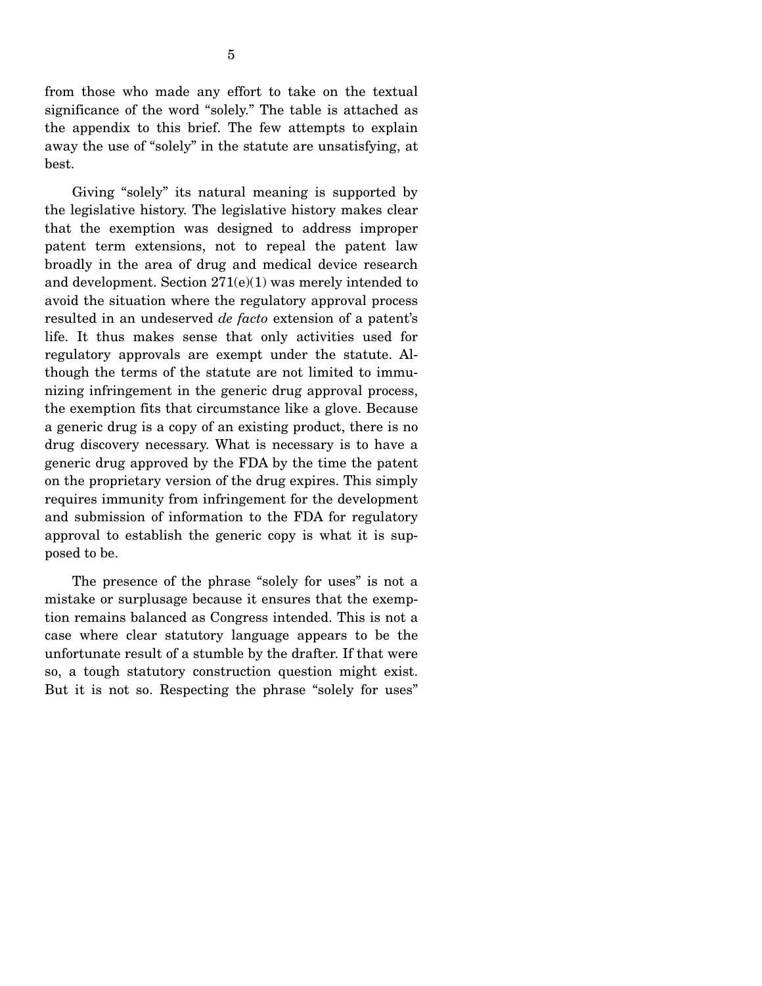from those who made any effort to take on the textual significance of the word "solely." The table is attached as the appendix to this brief. The few attempts to explain away the use of "solely" in the statute are unsatisfying, at best.

 Giving "solely" its natural meaning is supported by the legislative history. The legislative history makes clear that the exemption was designed to address improper patent term extensions, not to repeal the patent law broadly in the area of drug and medical device research and development. Section 271(e)(1) was merely intended to avoid the situation where the regulatory approval process resulted in an undeserved *de facto* extension of a patent's life. It thus makes sense that only activities used for regulatory approvals are exempt under the statute. Although the terms of the statute are not limited to immunizing infringement in the generic drug approval process, the exemption fits that circumstance like a glove. Because a generic drug is a copy of an existing product, there is no drug discovery necessary. What is necessary is to have a generic drug approved by the FDA by the time the patent on the proprietary version of the drug expires. This simply requires immunity from infringement for the development and submission of information to the FDA for regulatory approval to establish the generic copy is what it is supposed to be.

 The presence of the phrase "solely for uses" is not a mistake or surplusage because it ensures that the exemption remains balanced as Congress intended. This is not a case where clear statutory language appears to be the unfortunate result of a stumble by the drafter. If that were so, a tough statutory construction question might exist. But it is not so. Respecting the phrase "solely for uses"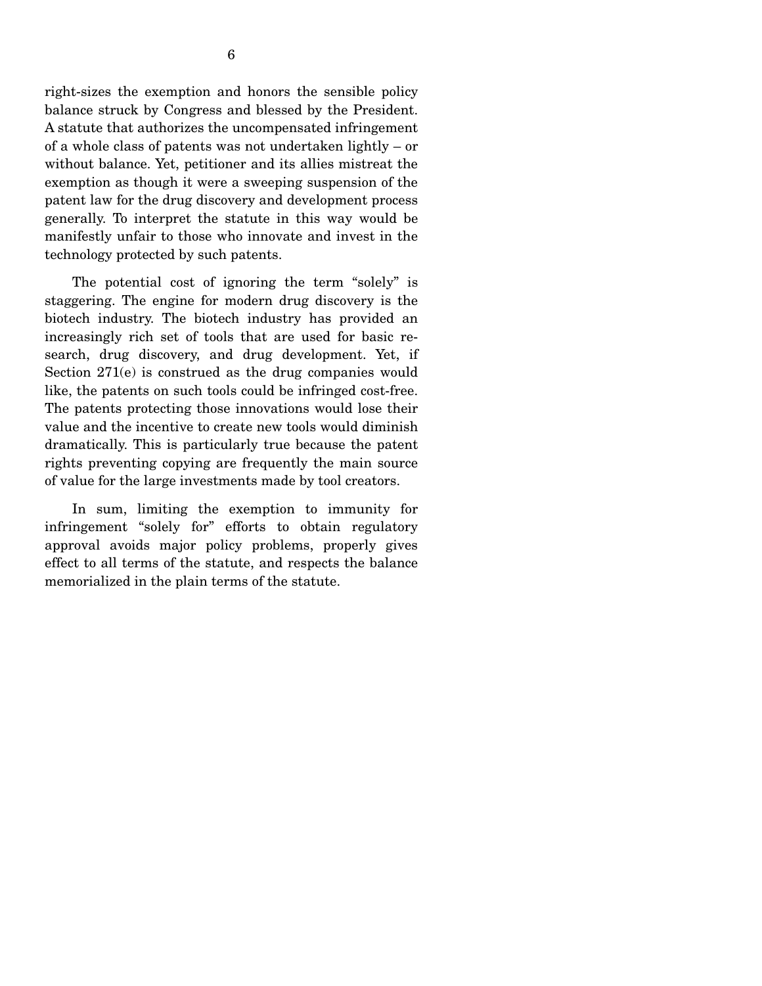right-sizes the exemption and honors the sensible policy balance struck by Congress and blessed by the President. A statute that authorizes the uncompensated infringement of a whole class of patents was not undertaken lightly – or without balance. Yet, petitioner and its allies mistreat the exemption as though it were a sweeping suspension of the patent law for the drug discovery and development process generally. To interpret the statute in this way would be manifestly unfair to those who innovate and invest in the technology protected by such patents.

 The potential cost of ignoring the term "solely" is staggering. The engine for modern drug discovery is the biotech industry. The biotech industry has provided an increasingly rich set of tools that are used for basic research, drug discovery, and drug development. Yet, if Section 271(e) is construed as the drug companies would like, the patents on such tools could be infringed cost-free. The patents protecting those innovations would lose their value and the incentive to create new tools would diminish dramatically. This is particularly true because the patent rights preventing copying are frequently the main source of value for the large investments made by tool creators.

 In sum, limiting the exemption to immunity for infringement "solely for" efforts to obtain regulatory approval avoids major policy problems, properly gives effect to all terms of the statute, and respects the balance memorialized in the plain terms of the statute.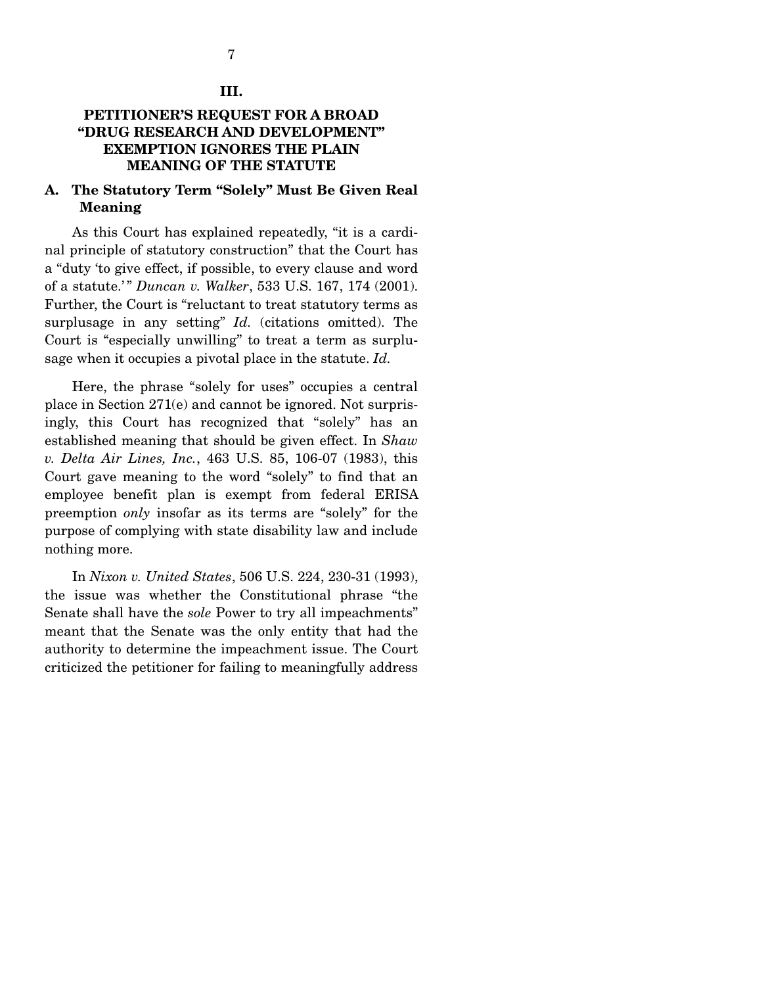#### **III.**

## **PETITIONER'S REQUEST FOR A BROAD "DRUG RESEARCH AND DEVELOPMENT" EXEMPTION IGNORES THE PLAIN MEANING OF THE STATUTE**

### **A. The Statutory Term "Solely" Must Be Given Real Meaning**

 As this Court has explained repeatedly, "it is a cardinal principle of statutory construction" that the Court has a "duty 'to give effect, if possible, to every clause and word of a statute.' " *Duncan v. Walker*, 533 U.S. 167, 174 (2001). Further, the Court is "reluctant to treat statutory terms as surplusage in any setting" *Id.* (citations omitted). The Court is "especially unwilling" to treat a term as surplusage when it occupies a pivotal place in the statute. *Id.*

 Here, the phrase "solely for uses" occupies a central place in Section 271(e) and cannot be ignored. Not surprisingly, this Court has recognized that "solely" has an established meaning that should be given effect. In *Shaw v. Delta Air Lines, Inc.*, 463 U.S. 85, 106-07 (1983), this Court gave meaning to the word "solely" to find that an employee benefit plan is exempt from federal ERISA preemption *only* insofar as its terms are "solely" for the purpose of complying with state disability law and include nothing more.

 In *Nixon v. United States*, 506 U.S. 224, 230-31 (1993), the issue was whether the Constitutional phrase "the Senate shall have the *sole* Power to try all impeachments" meant that the Senate was the only entity that had the authority to determine the impeachment issue. The Court criticized the petitioner for failing to meaningfully address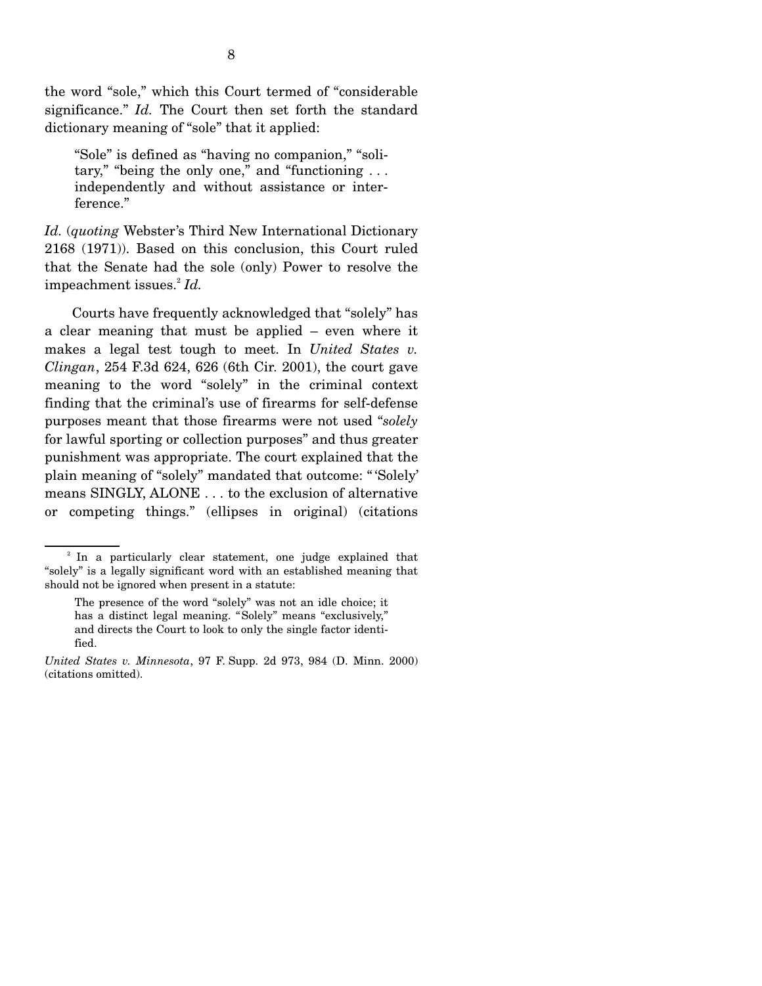the word "sole," which this Court termed of "considerable significance." *Id.* The Court then set forth the standard dictionary meaning of "sole" that it applied:

"Sole" is defined as "having no companion," "solitary," "being the only one," and "functioning . . . independently and without assistance or interference."

*Id.* (*quoting* Webster's Third New International Dictionary 2168 (1971)). Based on this conclusion, this Court ruled that the Senate had the sole (only) Power to resolve the impeachment issues.2 *Id.*

 Courts have frequently acknowledged that "solely" has a clear meaning that must be applied – even where it makes a legal test tough to meet. In *United States v. Clingan*, 254 F.3d 624, 626 (6th Cir. 2001), the court gave meaning to the word "solely" in the criminal context finding that the criminal's use of firearms for self-defense purposes meant that those firearms were not used "*solely* for lawful sporting or collection purposes" and thus greater punishment was appropriate. The court explained that the plain meaning of "solely" mandated that outcome: " 'Solely' means SINGLY, ALONE . . . to the exclusion of alternative or competing things." (ellipses in original) (citations

<sup>&</sup>lt;sup>2</sup> In a particularly clear statement, one judge explained that "solely" is a legally significant word with an established meaning that should not be ignored when present in a statute:

The presence of the word "solely" was not an idle choice; it has a distinct legal meaning. "Solely" means "exclusively," and directs the Court to look to only the single factor identified.

*United States v. Minnesota*, 97 F. Supp. 2d 973, 984 (D. Minn. 2000) (citations omitted).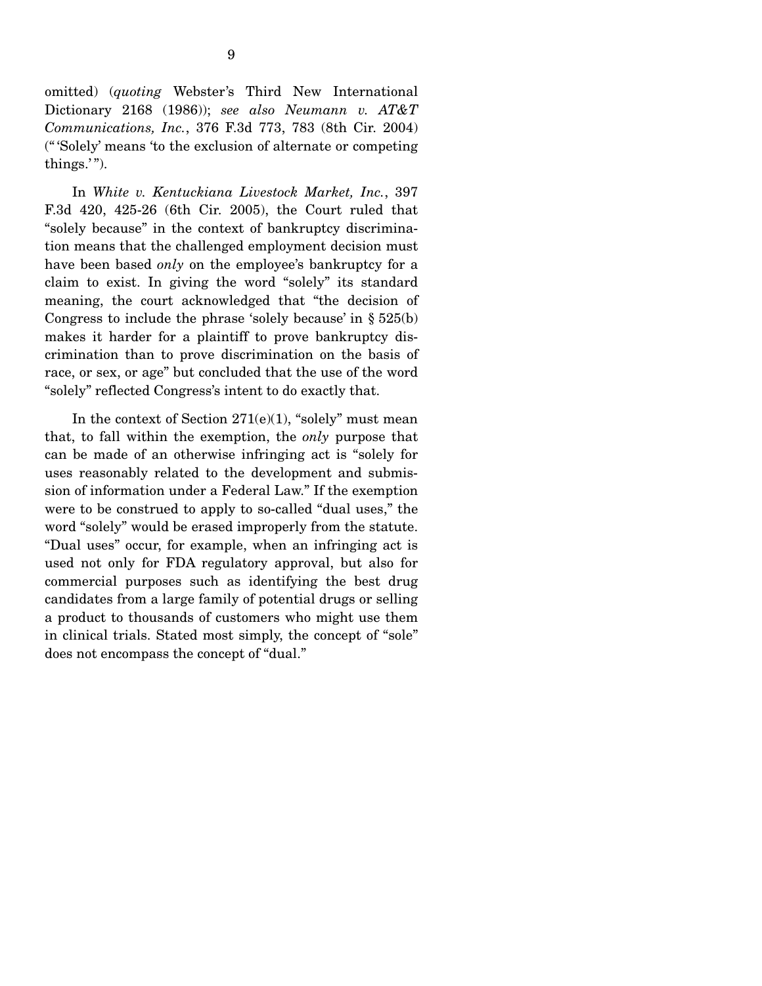omitted) (*quoting* Webster's Third New International Dictionary 2168 (1986)); *see also Neumann v. AT&T Communications, Inc.*, 376 F.3d 773, 783 (8th Cir. 2004) (" 'Solely' means 'to the exclusion of alternate or competing things.'").

 In *White v. Kentuckiana Livestock Market, Inc.*, 397 F.3d 420, 425-26 (6th Cir. 2005), the Court ruled that "solely because" in the context of bankruptcy discrimination means that the challenged employment decision must have been based *only* on the employee's bankruptcy for a claim to exist. In giving the word "solely" its standard meaning, the court acknowledged that "the decision of Congress to include the phrase 'solely because' in  $\S 525(b)$ makes it harder for a plaintiff to prove bankruptcy discrimination than to prove discrimination on the basis of race, or sex, or age" but concluded that the use of the word "solely" reflected Congress's intent to do exactly that.

In the context of Section  $271(e)(1)$ , "solely" must mean that, to fall within the exemption, the *only* purpose that can be made of an otherwise infringing act is "solely for uses reasonably related to the development and submission of information under a Federal Law." If the exemption were to be construed to apply to so-called "dual uses," the word "solely" would be erased improperly from the statute. "Dual uses" occur, for example, when an infringing act is used not only for FDA regulatory approval, but also for commercial purposes such as identifying the best drug candidates from a large family of potential drugs or selling a product to thousands of customers who might use them in clinical trials. Stated most simply, the concept of "sole" does not encompass the concept of "dual."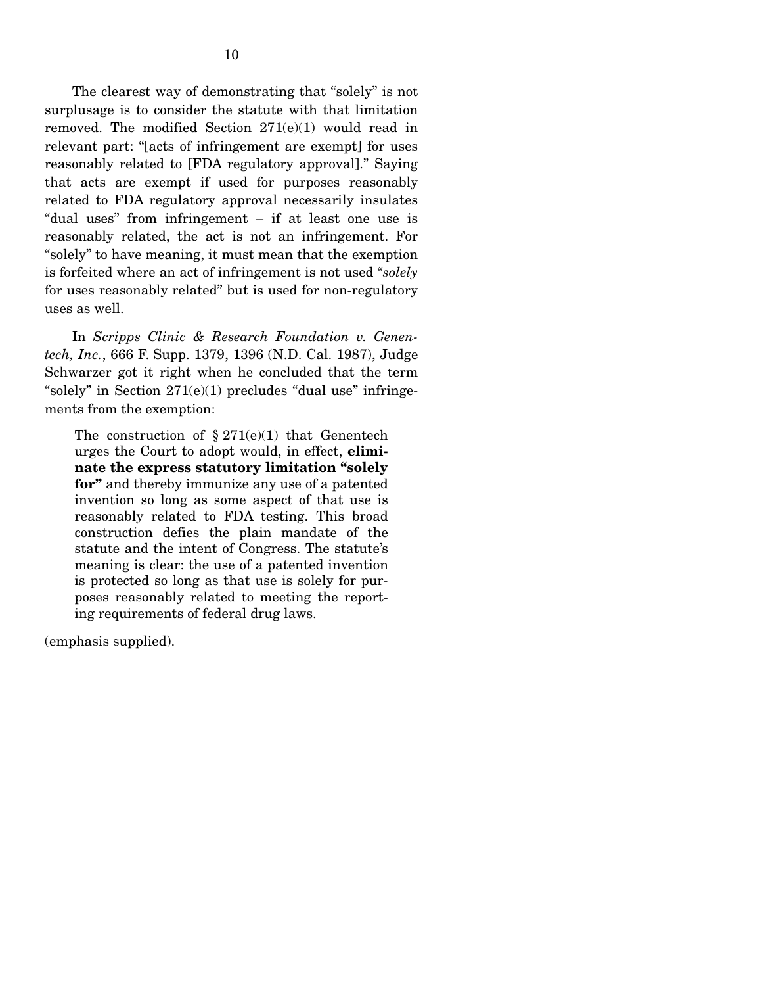The clearest way of demonstrating that "solely" is not surplusage is to consider the statute with that limitation removed. The modified Section 271(e)(1) would read in relevant part: "[acts of infringement are exempt] for uses reasonably related to [FDA regulatory approval]." Saying that acts are exempt if used for purposes reasonably related to FDA regulatory approval necessarily insulates "dual uses" from infringement – if at least one use is reasonably related, the act is not an infringement. For "solely" to have meaning, it must mean that the exemption is forfeited where an act of infringement is not used "*solely* for uses reasonably related" but is used for non-regulatory uses as well.

 In *Scripps Clinic & Research Foundation v. Genentech, Inc.*, 666 F. Supp. 1379, 1396 (N.D. Cal. 1987), Judge Schwarzer got it right when he concluded that the term "solely" in Section  $271(e)(1)$  precludes "dual use" infringements from the exemption:

The construction of  $\S 271(e)(1)$  that Genentech urges the Court to adopt would, in effect, **eliminate the express statutory limitation "solely for"** and thereby immunize any use of a patented invention so long as some aspect of that use is reasonably related to FDA testing. This broad construction defies the plain mandate of the statute and the intent of Congress. The statute's meaning is clear: the use of a patented invention is protected so long as that use is solely for purposes reasonably related to meeting the reporting requirements of federal drug laws.

(emphasis supplied).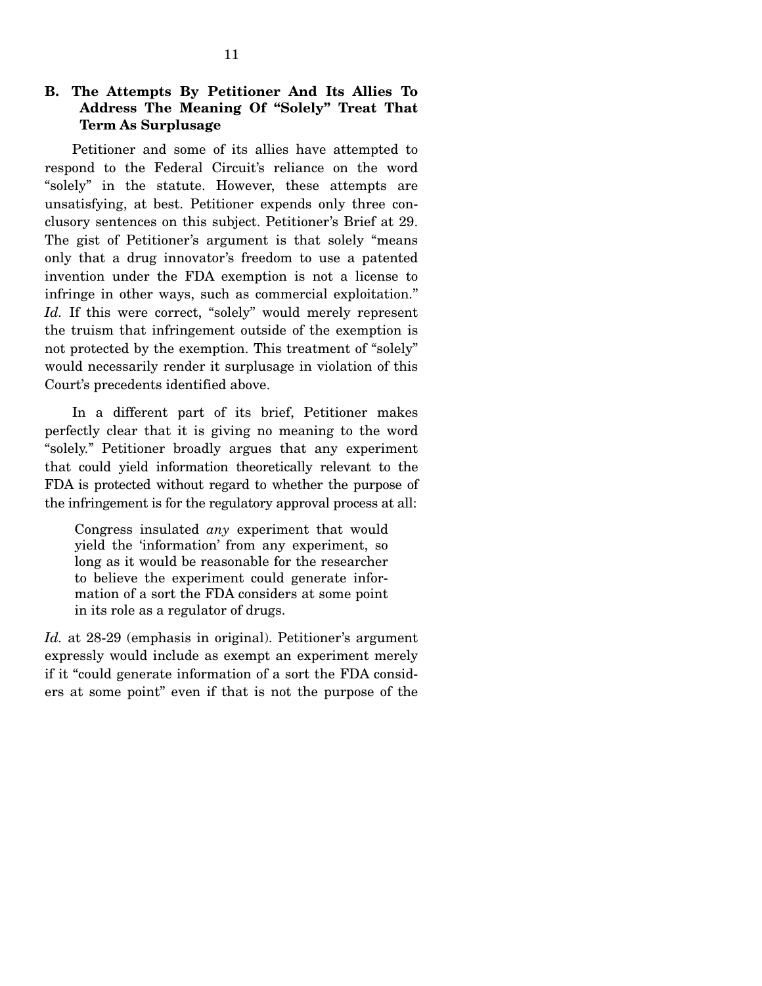### **B. The Attempts By Petitioner And Its Allies To Address The Meaning Of "Solely" Treat That Term As Surplusage**

 Petitioner and some of its allies have attempted to respond to the Federal Circuit's reliance on the word "solely" in the statute. However, these attempts are unsatisfying, at best. Petitioner expends only three conclusory sentences on this subject. Petitioner's Brief at 29. The gist of Petitioner's argument is that solely "means only that a drug innovator's freedom to use a patented invention under the FDA exemption is not a license to infringe in other ways, such as commercial exploitation." Id. If this were correct, "solely" would merely represent the truism that infringement outside of the exemption is not protected by the exemption. This treatment of "solely" would necessarily render it surplusage in violation of this Court's precedents identified above.

 In a different part of its brief, Petitioner makes perfectly clear that it is giving no meaning to the word "solely." Petitioner broadly argues that any experiment that could yield information theoretically relevant to the FDA is protected without regard to whether the purpose of the infringement is for the regulatory approval process at all:

Congress insulated *any* experiment that would yield the 'information' from any experiment, so long as it would be reasonable for the researcher to believe the experiment could generate information of a sort the FDA considers at some point in its role as a regulator of drugs.

*Id.* at 28-29 (emphasis in original). Petitioner's argument expressly would include as exempt an experiment merely if it "could generate information of a sort the FDA considers at some point" even if that is not the purpose of the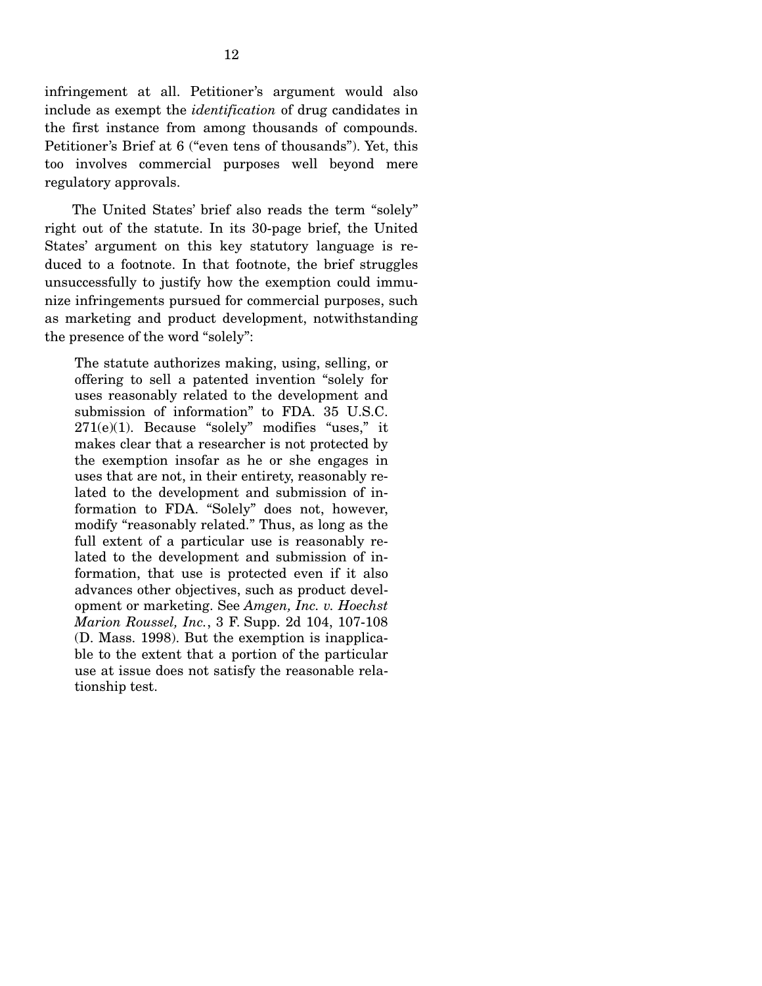infringement at all. Petitioner's argument would also include as exempt the *identification* of drug candidates in the first instance from among thousands of compounds. Petitioner's Brief at 6 ("even tens of thousands"). Yet, this too involves commercial purposes well beyond mere regulatory approvals.

 The United States' brief also reads the term "solely" right out of the statute. In its 30-page brief, the United States' argument on this key statutory language is reduced to a footnote. In that footnote, the brief struggles unsuccessfully to justify how the exemption could immunize infringements pursued for commercial purposes, such as marketing and product development, notwithstanding the presence of the word "solely":

The statute authorizes making, using, selling, or offering to sell a patented invention "solely for uses reasonably related to the development and submission of information" to FDA. 35 U.S.C.  $271(e)(1)$ . Because "solely" modifies "uses," it makes clear that a researcher is not protected by the exemption insofar as he or she engages in uses that are not, in their entirety, reasonably related to the development and submission of information to FDA. "Solely" does not, however, modify "reasonably related." Thus, as long as the full extent of a particular use is reasonably related to the development and submission of information, that use is protected even if it also advances other objectives, such as product development or marketing. See *Amgen, Inc. v. Hoechst Marion Roussel, Inc.*, 3 F. Supp. 2d 104, 107-108 (D. Mass. 1998). But the exemption is inapplicable to the extent that a portion of the particular use at issue does not satisfy the reasonable relationship test.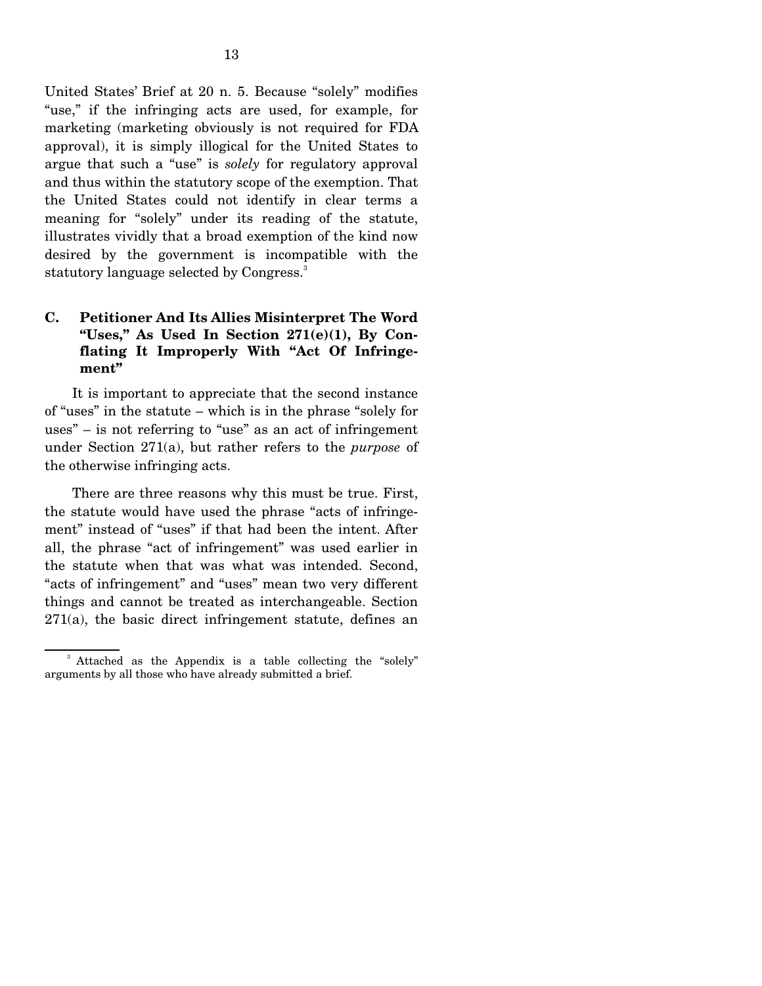United States' Brief at 20 n. 5. Because "solely" modifies "use," if the infringing acts are used, for example, for marketing (marketing obviously is not required for FDA approval), it is simply illogical for the United States to argue that such a "use" is *solely* for regulatory approval and thus within the statutory scope of the exemption. That the United States could not identify in clear terms a meaning for "solely" under its reading of the statute, illustrates vividly that a broad exemption of the kind now desired by the government is incompatible with the statutory language selected by Congress.<sup>3</sup>

## **C. Petitioner And Its Allies Misinterpret The Word "Uses," As Used In Section 271(e)(1), By Conflating It Improperly With "Act Of Infringement"**

 It is important to appreciate that the second instance of "uses" in the statute – which is in the phrase "solely for uses" – is not referring to "use" as an act of infringement under Section 271(a), but rather refers to the *purpose* of the otherwise infringing acts.

 There are three reasons why this must be true. First, the statute would have used the phrase "acts of infringement" instead of "uses" if that had been the intent. After all, the phrase "act of infringement" was used earlier in the statute when that was what was intended. Second, "acts of infringement" and "uses" mean two very different things and cannot be treated as interchangeable. Section 271(a), the basic direct infringement statute, defines an

<sup>&</sup>lt;sup>3</sup> Attached as the Appendix is a table collecting the "solely" arguments by all those who have already submitted a brief.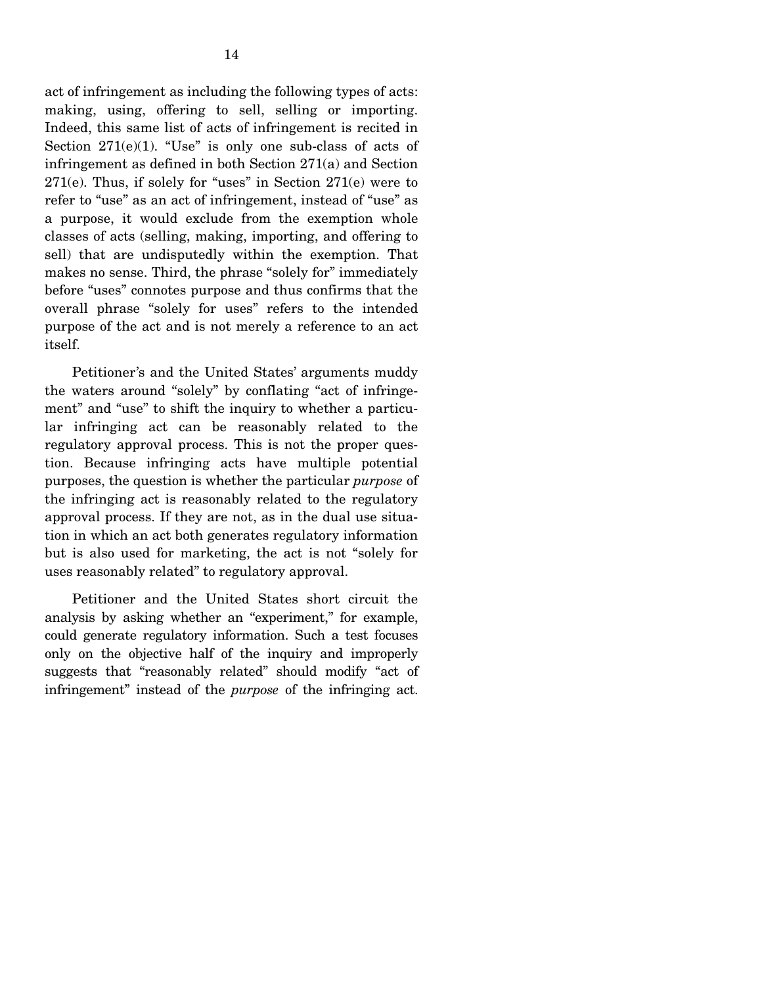act of infringement as including the following types of acts: making, using, offering to sell, selling or importing. Indeed, this same list of acts of infringement is recited in Section  $271(e)(1)$ . "Use" is only one sub-class of acts of infringement as defined in both Section 271(a) and Section 271(e). Thus, if solely for "uses" in Section 271(e) were to refer to "use" as an act of infringement, instead of "use" as a purpose, it would exclude from the exemption whole classes of acts (selling, making, importing, and offering to sell) that are undisputedly within the exemption. That makes no sense. Third, the phrase "solely for" immediately before "uses" connotes purpose and thus confirms that the overall phrase "solely for uses" refers to the intended purpose of the act and is not merely a reference to an act

itself.

 Petitioner's and the United States' arguments muddy the waters around "solely" by conflating "act of infringement" and "use" to shift the inquiry to whether a particular infringing act can be reasonably related to the regulatory approval process. This is not the proper question. Because infringing acts have multiple potential purposes, the question is whether the particular *purpose* of the infringing act is reasonably related to the regulatory approval process. If they are not, as in the dual use situation in which an act both generates regulatory information but is also used for marketing, the act is not "solely for uses reasonably related" to regulatory approval.

 Petitioner and the United States short circuit the analysis by asking whether an "experiment," for example, could generate regulatory information. Such a test focuses only on the objective half of the inquiry and improperly suggests that "reasonably related" should modify "act of infringement" instead of the *purpose* of the infringing act.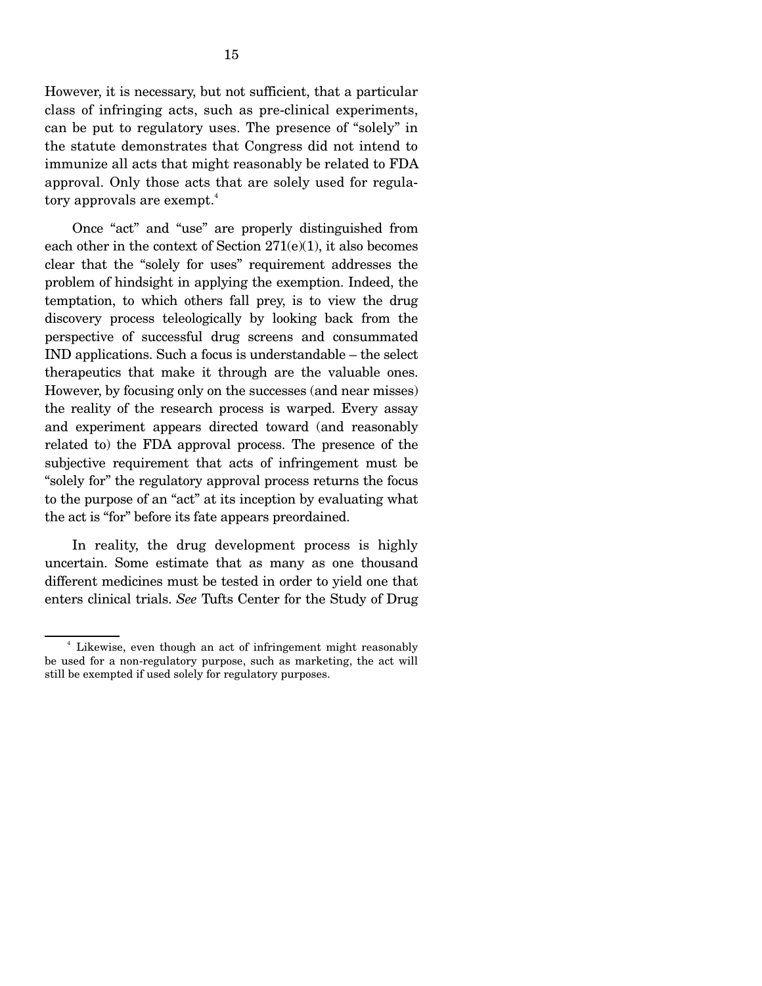However, it is necessary, but not sufficient, that a particular class of infringing acts, such as pre-clinical experiments, can be put to regulatory uses. The presence of "solely" in the statute demonstrates that Congress did not intend to immunize all acts that might reasonably be related to FDA approval. Only those acts that are solely used for regulatory approvals are exempt.<sup>4</sup>

 Once "act" and "use" are properly distinguished from each other in the context of Section 271(e)(1), it also becomes clear that the "solely for uses" requirement addresses the problem of hindsight in applying the exemption. Indeed, the temptation, to which others fall prey, is to view the drug discovery process teleologically by looking back from the perspective of successful drug screens and consummated IND applications. Such a focus is understandable – the select therapeutics that make it through are the valuable ones. However, by focusing only on the successes (and near misses) the reality of the research process is warped. Every assay and experiment appears directed toward (and reasonably related to) the FDA approval process. The presence of the subjective requirement that acts of infringement must be "solely for" the regulatory approval process returns the focus to the purpose of an "act" at its inception by evaluating what the act is "for" before its fate appears preordained.

 In reality, the drug development process is highly uncertain. Some estimate that as many as one thousand different medicines must be tested in order to yield one that enters clinical trials. *See* Tufts Center for the Study of Drug

<sup>4</sup> Likewise, even though an act of infringement might reasonably be used for a non-regulatory purpose, such as marketing, the act will still be exempted if used solely for regulatory purposes.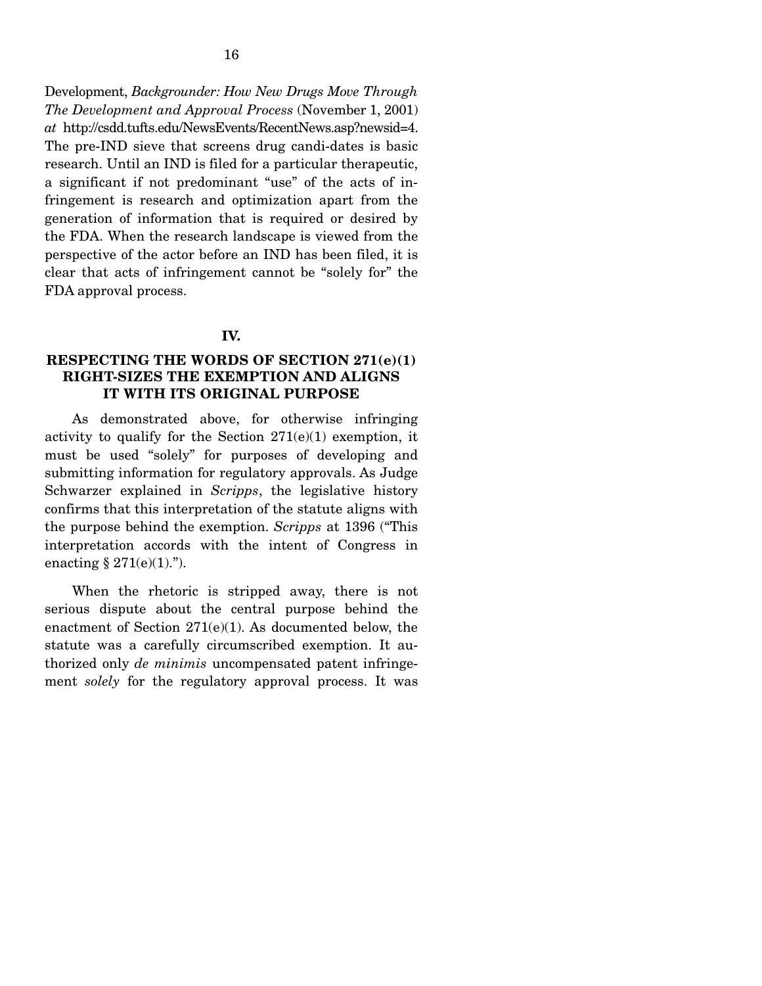Development, *Backgrounder: How New Drugs Move Through The Development and Approval Process* (November 1, 2001) *at* http://csdd.tufts.edu/NewsEvents/RecentNews.asp?newsid=4. The pre-IND sieve that screens drug candi-dates is basic research. Until an IND is filed for a particular therapeutic, a significant if not predominant "use" of the acts of infringement is research and optimization apart from the generation of information that is required or desired by the FDA. When the research landscape is viewed from the perspective of the actor before an IND has been filed, it is clear that acts of infringement cannot be "solely for" the FDA approval process.

#### **IV.**

## **RESPECTING THE WORDS OF SECTION 271(e)(1) RIGHT-SIZES THE EXEMPTION AND ALIGNS IT WITH ITS ORIGINAL PURPOSE**

 As demonstrated above, for otherwise infringing activity to qualify for the Section  $271(e)(1)$  exemption, it must be used "solely" for purposes of developing and submitting information for regulatory approvals. As Judge Schwarzer explained in *Scripps*, the legislative history confirms that this interpretation of the statute aligns with the purpose behind the exemption. *Scripps* at 1396 ("This interpretation accords with the intent of Congress in enacting  $§ 271(e)(1).".$ 

 When the rhetoric is stripped away, there is not serious dispute about the central purpose behind the enactment of Section 271(e)(1). As documented below, the statute was a carefully circumscribed exemption. It authorized only *de minimis* uncompensated patent infringement *solely* for the regulatory approval process. It was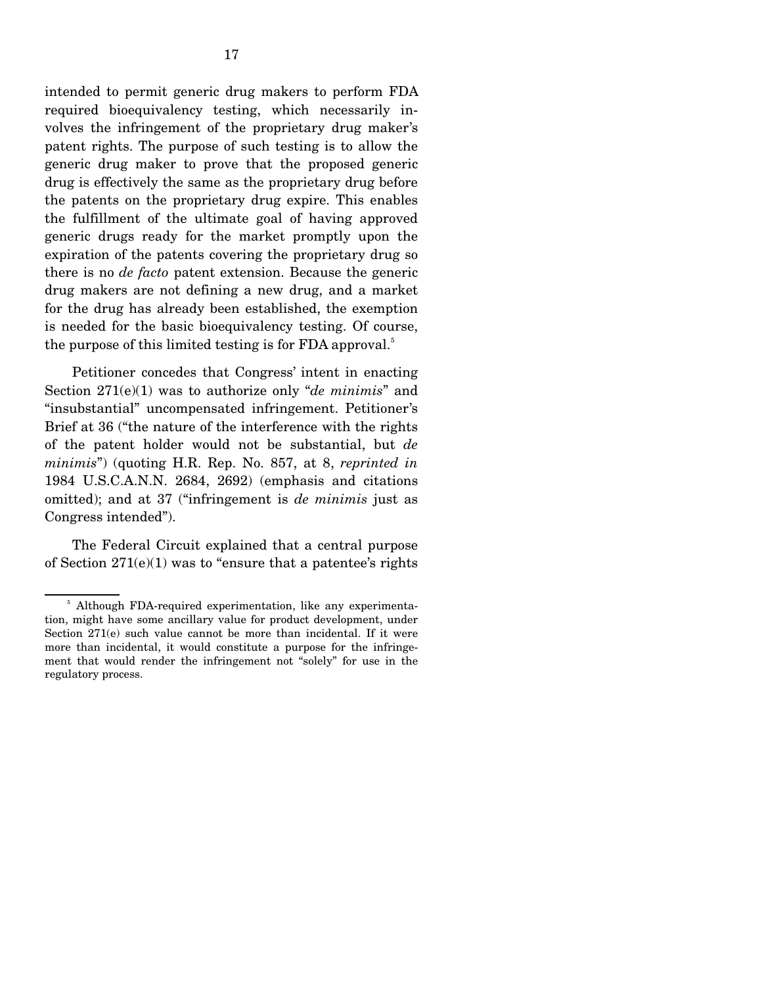intended to permit generic drug makers to perform FDA required bioequivalency testing, which necessarily involves the infringement of the proprietary drug maker's patent rights. The purpose of such testing is to allow the generic drug maker to prove that the proposed generic drug is effectively the same as the proprietary drug before the patents on the proprietary drug expire. This enables the fulfillment of the ultimate goal of having approved generic drugs ready for the market promptly upon the expiration of the patents covering the proprietary drug so there is no *de facto* patent extension. Because the generic drug makers are not defining a new drug, and a market for the drug has already been established, the exemption is needed for the basic bioequivalency testing. Of course,

 Petitioner concedes that Congress' intent in enacting Section 271(e)(1) was to authorize only "*de minimis*" and "insubstantial" uncompensated infringement. Petitioner's Brief at 36 ("the nature of the interference with the rights of the patent holder would not be substantial, but *de minimis*") (quoting H.R. Rep. No. 857, at 8, *reprinted in*  1984 U.S.C.A.N.N. 2684, 2692) (emphasis and citations omitted); and at 37 ("infringement is *de minimis* just as Congress intended").

the purpose of this limited testing is for FDA approval.<sup>5</sup>

 The Federal Circuit explained that a central purpose of Section  $271(e)(1)$  was to "ensure that a patentee's rights"

<sup>&</sup>lt;sup>5</sup> Although FDA-required experimentation, like any experimentation, might have some ancillary value for product development, under Section 271(e) such value cannot be more than incidental. If it were more than incidental, it would constitute a purpose for the infringement that would render the infringement not "solely" for use in the regulatory process.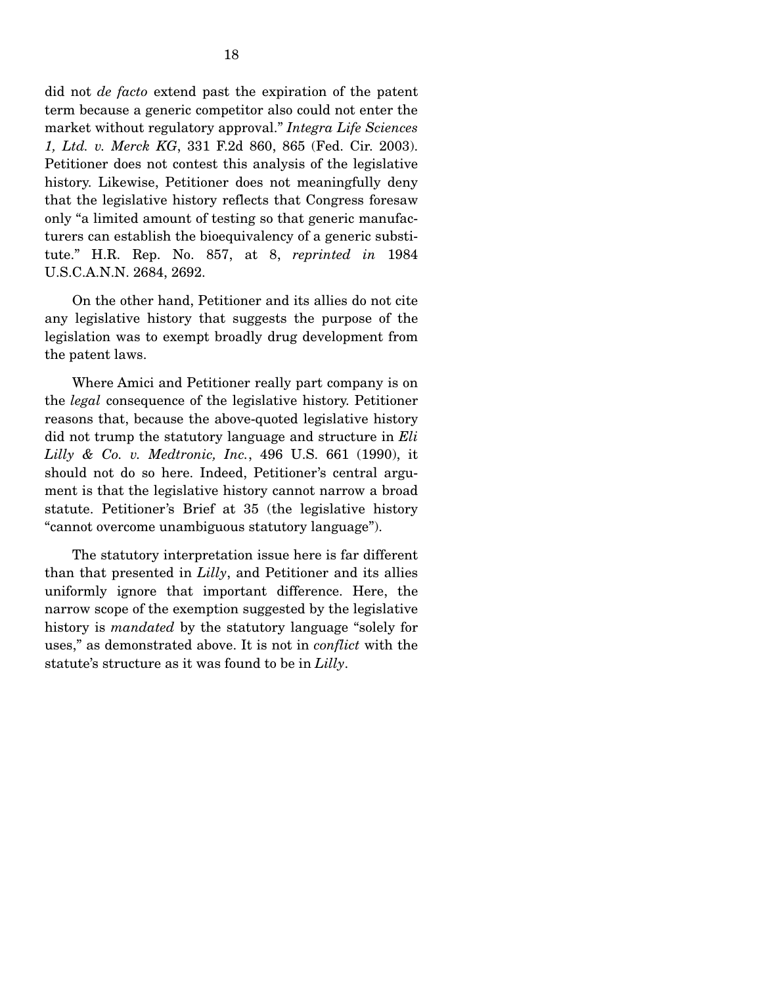did not *de facto* extend past the expiration of the patent term because a generic competitor also could not enter the market without regulatory approval." *Integra Life Sciences 1, Ltd. v. Merck KG*, 331 F.2d 860, 865 (Fed. Cir. 2003). Petitioner does not contest this analysis of the legislative history. Likewise, Petitioner does not meaningfully deny that the legislative history reflects that Congress foresaw only "a limited amount of testing so that generic manufacturers can establish the bioequivalency of a generic substitute." H.R. Rep. No. 857, at 8, *reprinted in* 1984 U.S.C.A.N.N. 2684, 2692.

 On the other hand, Petitioner and its allies do not cite any legislative history that suggests the purpose of the legislation was to exempt broadly drug development from the patent laws.

 Where Amici and Petitioner really part company is on the *legal* consequence of the legislative history. Petitioner reasons that, because the above-quoted legislative history did not trump the statutory language and structure in *Eli Lilly & Co. v. Medtronic, Inc.*, 496 U.S. 661 (1990), it should not do so here. Indeed, Petitioner's central argument is that the legislative history cannot narrow a broad statute. Petitioner's Brief at 35 (the legislative history "cannot overcome unambiguous statutory language").

 The statutory interpretation issue here is far different than that presented in *Lilly*, and Petitioner and its allies uniformly ignore that important difference. Here, the narrow scope of the exemption suggested by the legislative history is *mandated* by the statutory language "solely for uses," as demonstrated above. It is not in *conflict* with the statute's structure as it was found to be in *Lilly*.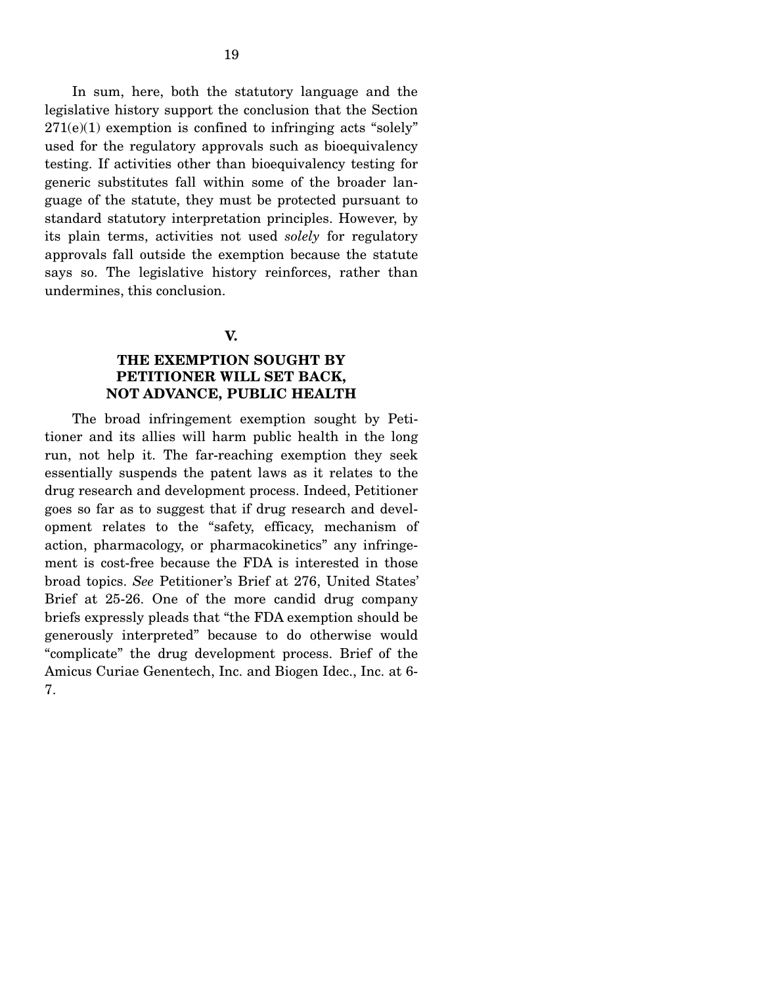In sum, here, both the statutory language and the legislative history support the conclusion that the Section  $271(e)(1)$  exemption is confined to infringing acts "solely" used for the regulatory approvals such as bioequivalency testing. If activities other than bioequivalency testing for generic substitutes fall within some of the broader language of the statute, they must be protected pursuant to standard statutory interpretation principles. However, by its plain terms, activities not used *solely* for regulatory approvals fall outside the exemption because the statute says so. The legislative history reinforces, rather than undermines, this conclusion.

#### **V.**

## **THE EXEMPTION SOUGHT BY PETITIONER WILL SET BACK, NOT ADVANCE, PUBLIC HEALTH**

 The broad infringement exemption sought by Petitioner and its allies will harm public health in the long run, not help it. The far-reaching exemption they seek essentially suspends the patent laws as it relates to the drug research and development process. Indeed, Petitioner goes so far as to suggest that if drug research and development relates to the "safety, efficacy, mechanism of action, pharmacology, or pharmacokinetics" any infringement is cost-free because the FDA is interested in those broad topics. *See* Petitioner's Brief at 276, United States' Brief at 25-26. One of the more candid drug company briefs expressly pleads that "the FDA exemption should be generously interpreted" because to do otherwise would "complicate" the drug development process. Brief of the Amicus Curiae Genentech, Inc. and Biogen Idec., Inc. at 6- 7.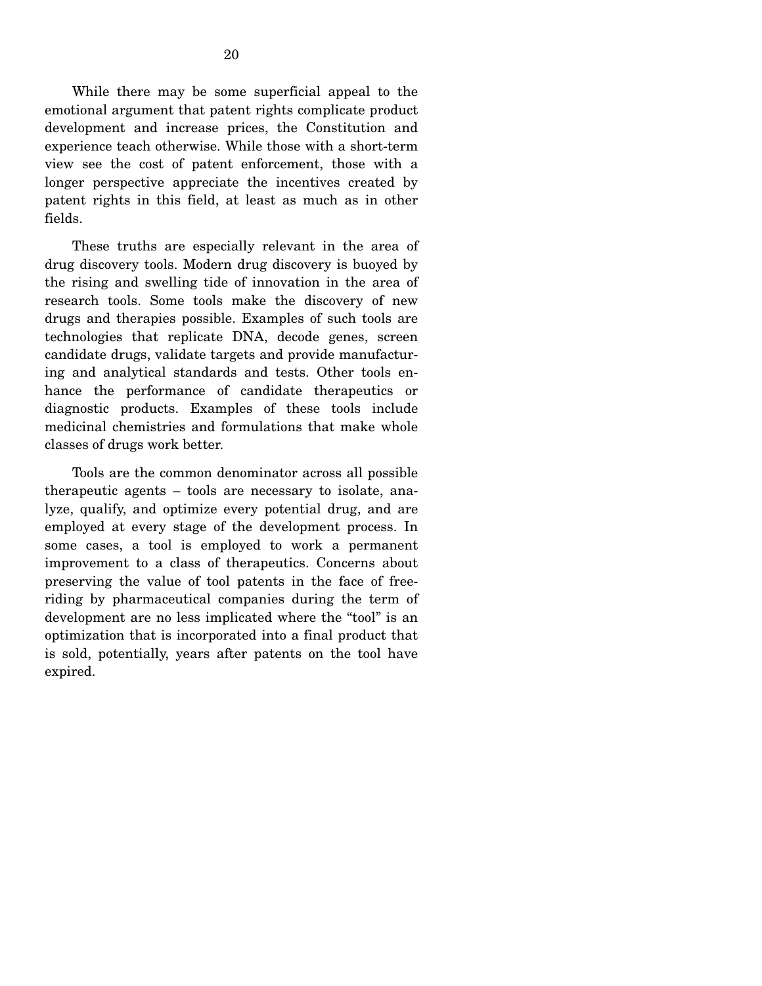While there may be some superficial appeal to the emotional argument that patent rights complicate product development and increase prices, the Constitution and experience teach otherwise. While those with a short-term view see the cost of patent enforcement, those with a longer perspective appreciate the incentives created by patent rights in this field, at least as much as in other fields.

 These truths are especially relevant in the area of drug discovery tools. Modern drug discovery is buoyed by the rising and swelling tide of innovation in the area of research tools. Some tools make the discovery of new drugs and therapies possible. Examples of such tools are technologies that replicate DNA, decode genes, screen candidate drugs, validate targets and provide manufacturing and analytical standards and tests. Other tools enhance the performance of candidate therapeutics or diagnostic products. Examples of these tools include medicinal chemistries and formulations that make whole classes of drugs work better.

 Tools are the common denominator across all possible therapeutic agents – tools are necessary to isolate, analyze, qualify, and optimize every potential drug, and are employed at every stage of the development process. In some cases, a tool is employed to work a permanent improvement to a class of therapeutics. Concerns about preserving the value of tool patents in the face of freeriding by pharmaceutical companies during the term of development are no less implicated where the "tool" is an optimization that is incorporated into a final product that is sold, potentially, years after patents on the tool have expired.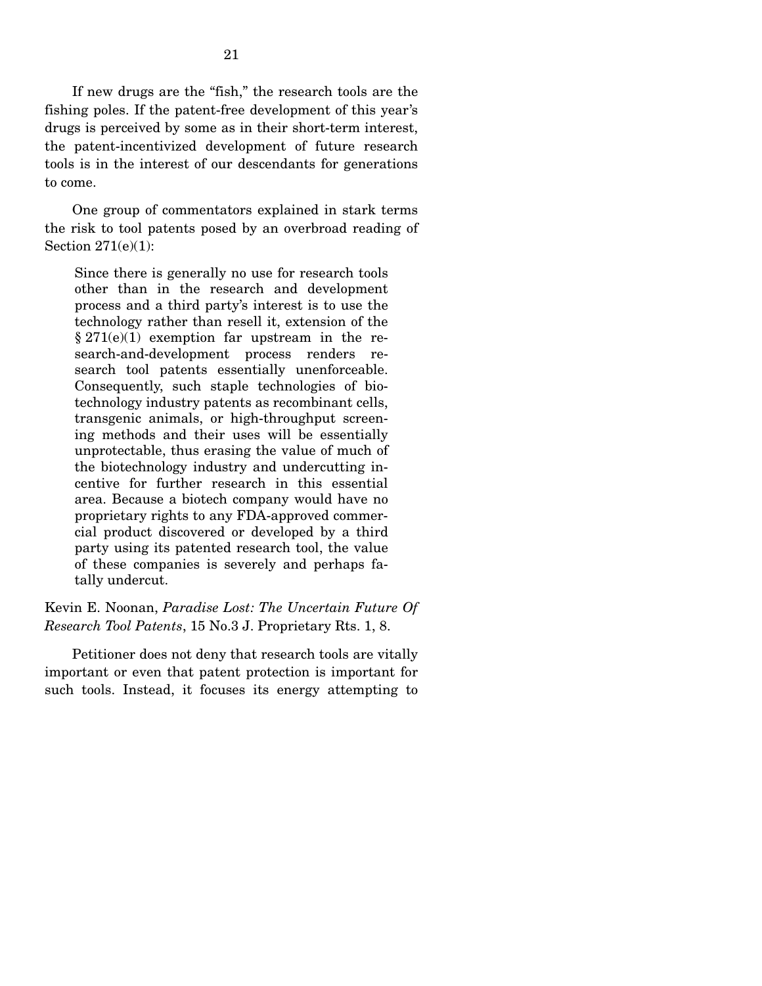If new drugs are the "fish," the research tools are the fishing poles. If the patent-free development of this year's drugs is perceived by some as in their short-term interest, the patent-incentivized development of future research tools is in the interest of our descendants for generations to come.

 One group of commentators explained in stark terms the risk to tool patents posed by an overbroad reading of Section 271(e)(1):

Since there is generally no use for research tools other than in the research and development process and a third party's interest is to use the technology rather than resell it, extension of the  $§ 271(e)(1)$  exemption far upstream in the research-and-development process renders research tool patents essentially unenforceable. Consequently, such staple technologies of biotechnology industry patents as recombinant cells, transgenic animals, or high-throughput screening methods and their uses will be essentially unprotectable, thus erasing the value of much of the biotechnology industry and undercutting incentive for further research in this essential area. Because a biotech company would have no proprietary rights to any FDA-approved commercial product discovered or developed by a third party using its patented research tool, the value of these companies is severely and perhaps fatally undercut.

Kevin E. Noonan, *Paradise Lost: The Uncertain Future Of Research Tool Patents*, 15 No.3 J. Proprietary Rts. 1, 8.

 Petitioner does not deny that research tools are vitally important or even that patent protection is important for such tools. Instead, it focuses its energy attempting to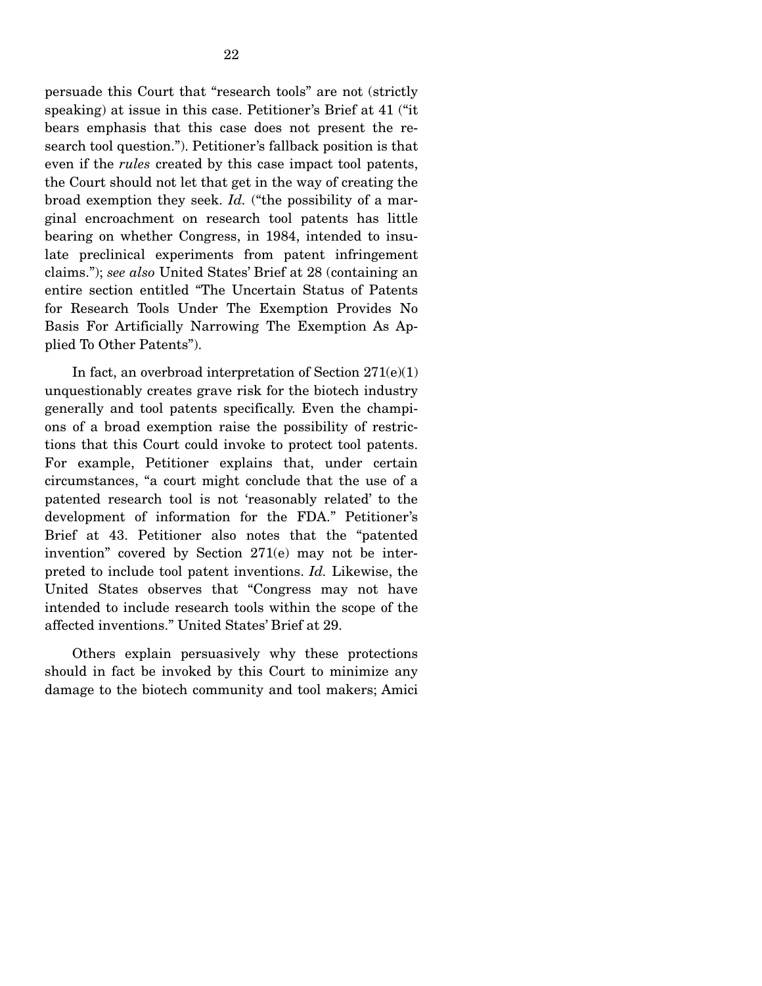persuade this Court that "research tools" are not (strictly speaking) at issue in this case. Petitioner's Brief at 41 ("it bears emphasis that this case does not present the research tool question."). Petitioner's fallback position is that even if the *rules* created by this case impact tool patents, the Court should not let that get in the way of creating the broad exemption they seek. *Id.* ("the possibility of a marginal encroachment on research tool patents has little bearing on whether Congress, in 1984, intended to insulate preclinical experiments from patent infringement claims."); *see also* United States' Brief at 28 (containing an entire section entitled "The Uncertain Status of Patents for Research Tools Under The Exemption Provides No Basis For Artificially Narrowing The Exemption As Applied To Other Patents").

In fact, an overbroad interpretation of Section  $271(e)(1)$ unquestionably creates grave risk for the biotech industry generally and tool patents specifically. Even the champions of a broad exemption raise the possibility of restrictions that this Court could invoke to protect tool patents. For example, Petitioner explains that, under certain circumstances, "a court might conclude that the use of a patented research tool is not 'reasonably related' to the development of information for the FDA." Petitioner's Brief at 43. Petitioner also notes that the "patented invention" covered by Section 271(e) may not be interpreted to include tool patent inventions. *Id.* Likewise, the United States observes that "Congress may not have intended to include research tools within the scope of the affected inventions." United States' Brief at 29.

 Others explain persuasively why these protections should in fact be invoked by this Court to minimize any damage to the biotech community and tool makers; Amici